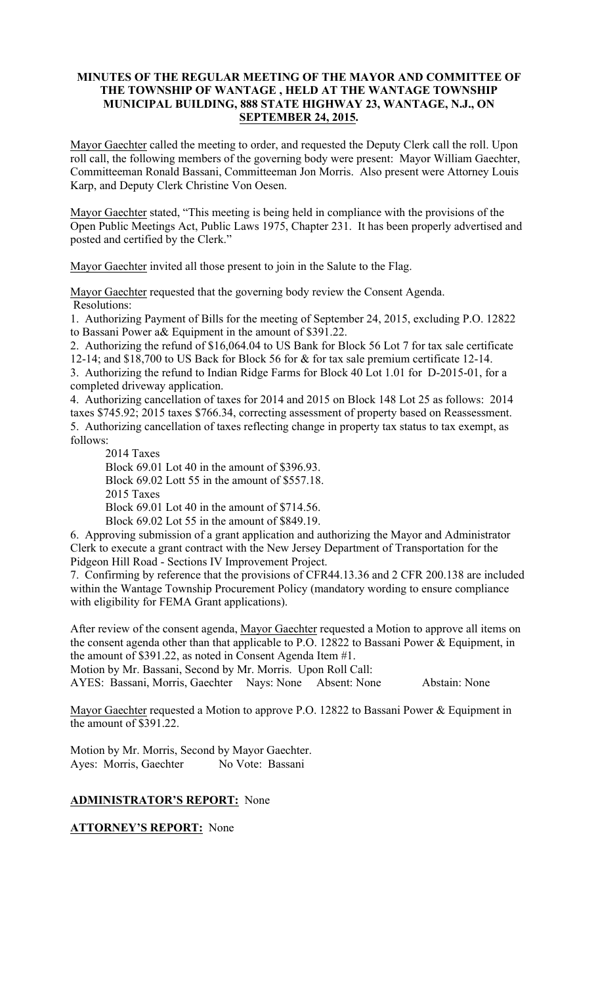### **MINUTES OF THE REGULAR MEETING OF THE MAYOR AND COMMITTEE OF THE TOWNSHIP OF WANTAGE , HELD AT THE WANTAGE TOWNSHIP MUNICIPAL BUILDING, 888 STATE HIGHWAY 23, WANTAGE, N.J., ON SEPTEMBER 24, 2015.**

Mayor Gaechter called the meeting to order, and requested the Deputy Clerk call the roll. Upon roll call, the following members of the governing body were present: Mayor William Gaechter, Committeeman Ronald Bassani, Committeeman Jon Morris. Also present were Attorney Louis Karp, and Deputy Clerk Christine Von Oesen.

Mayor Gaechter stated, "This meeting is being held in compliance with the provisions of the Open Public Meetings Act, Public Laws 1975, Chapter 231. It has been properly advertised and posted and certified by the Clerk."

Mayor Gaechter invited all those present to join in the Salute to the Flag.

Mayor Gaechter requested that the governing body review the Consent Agenda. Resolutions:

1. Authorizing Payment of Bills for the meeting of September 24, 2015, excluding P.O. 12822 to Bassani Power a& Equipment in the amount of \$391.22.

2. Authorizing the refund of \$16,064.04 to US Bank for Block 56 Lot 7 for tax sale certificate 12-14; and \$18,700 to US Back for Block 56 for & for tax sale premium certificate 12-14.

3. Authorizing the refund to Indian Ridge Farms for Block 40 Lot 1.01 for D-2015-01, for a completed driveway application.

4. Authorizing cancellation of taxes for 2014 and 2015 on Block 148 Lot 25 as follows: 2014 taxes \$745.92; 2015 taxes \$766.34, correcting assessment of property based on Reassessment. 5. Authorizing cancellation of taxes reflecting change in property tax status to tax exempt, as follows:

2014 Taxes Block 69.01 Lot 40 in the amount of \$396.93. Block 69.02 Lott 55 in the amount of \$557.18. 2015 Taxes Block 69.01 Lot 40 in the amount of \$714.56. Block 69.02 Lot 55 in the amount of \$849.19.

6. Approving submission of a grant application and authorizing the Mayor and Administrator Clerk to execute a grant contract with the New Jersey Department of Transportation for the Pidgeon Hill Road - Sections IV Improvement Project.

7. Confirming by reference that the provisions of CFR44.13.36 and 2 CFR 200.138 are included within the Wantage Township Procurement Policy (mandatory wording to ensure compliance with eligibility for FEMA Grant applications).

After review of the consent agenda, Mayor Gaechter requested a Motion to approve all items on the consent agenda other than that applicable to P.O. 12822 to Bassani Power & Equipment, in the amount of \$391.22, as noted in Consent Agenda Item #1.

Motion by Mr. Bassani, Second by Mr. Morris. Upon Roll Call:

AYES: Bassani, Morris, Gaechter Nays: None Absent: None Abstain: None

Mayor Gaechter requested a Motion to approve P.O. 12822 to Bassani Power & Equipment in the amount of \$391.22.

Motion by Mr. Morris, Second by Mayor Gaechter. Ayes: Morris, Gaechter No Vote: Bassani

# **ADMINISTRATOR'S REPORT:** None

**ATTORNEY'S REPORT:** None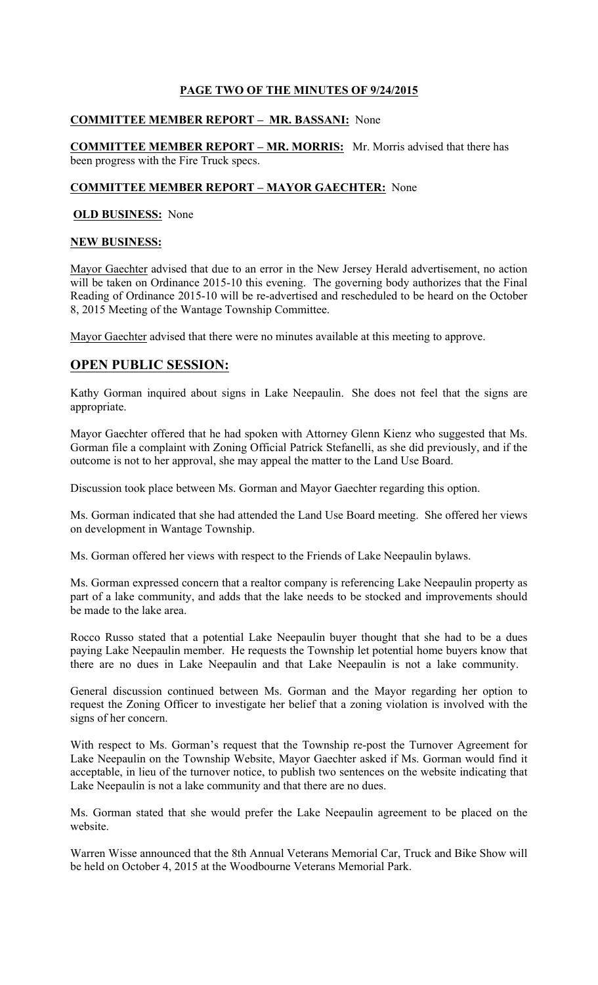# **PAGE TWO OF THE MINUTES OF 9/24/2015**

## **COMMITTEE MEMBER REPORT – MR. BASSANI:** None

**COMMITTEE MEMBER REPORT – MR. MORRIS:** Mr. Morris advised that there has been progress with the Fire Truck specs.

### **COMMITTEE MEMBER REPORT – MAYOR GAECHTER:** None

## **OLD BUSINESS:** None

### **NEW BUSINESS:**

Mayor Gaechter advised that due to an error in the New Jersey Herald advertisement, no action will be taken on Ordinance 2015-10 this evening. The governing body authorizes that the Final Reading of Ordinance 2015-10 will be re-advertised and rescheduled to be heard on the October 8, 2015 Meeting of the Wantage Township Committee.

Mayor Gaechter advised that there were no minutes available at this meeting to approve.

## **OPEN PUBLIC SESSION:**

Kathy Gorman inquired about signs in Lake Neepaulin. She does not feel that the signs are appropriate.

Mayor Gaechter offered that he had spoken with Attorney Glenn Kienz who suggested that Ms. Gorman file a complaint with Zoning Official Patrick Stefanelli, as she did previously, and if the outcome is not to her approval, she may appeal the matter to the Land Use Board.

Discussion took place between Ms. Gorman and Mayor Gaechter regarding this option.

Ms. Gorman indicated that she had attended the Land Use Board meeting. She offered her views on development in Wantage Township.

Ms. Gorman offered her views with respect to the Friends of Lake Neepaulin bylaws.

Ms. Gorman expressed concern that a realtor company is referencing Lake Neepaulin property as part of a lake community, and adds that the lake needs to be stocked and improvements should be made to the lake area.

Rocco Russo stated that a potential Lake Neepaulin buyer thought that she had to be a dues paying Lake Neepaulin member. He requests the Township let potential home buyers know that there are no dues in Lake Neepaulin and that Lake Neepaulin is not a lake community.

General discussion continued between Ms. Gorman and the Mayor regarding her option to request the Zoning Officer to investigate her belief that a zoning violation is involved with the signs of her concern.

With respect to Ms. Gorman's request that the Township re-post the Turnover Agreement for Lake Neepaulin on the Township Website, Mayor Gaechter asked if Ms. Gorman would find it acceptable, in lieu of the turnover notice, to publish two sentences on the website indicating that Lake Neepaulin is not a lake community and that there are no dues.

Ms. Gorman stated that she would prefer the Lake Neepaulin agreement to be placed on the website.

Warren Wisse announced that the 8th Annual Veterans Memorial Car, Truck and Bike Show will be held on October 4, 2015 at the Woodbourne Veterans Memorial Park.